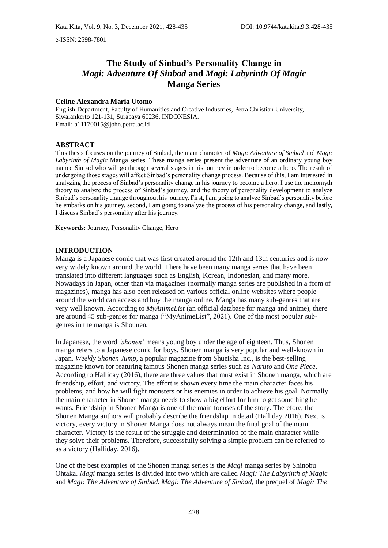e-ISSN: 2598-7801

# **The Study of Sinbad's Personality Change in**  *Magi: Adventure Of Sinbad* **and** *Magi: Labyrinth Of Magic*  **Manga Series**

#### **Celine Alexandra Maria Utomo**

English Department, Faculty of Humanities and Creative Industries, Petra Christian University, Siwalankerto 121-131, Surabaya 60236, INDONESIA. Email: a11170015@john.petra.ac.id

### **ABSTRACT**

This thesis focuses on the journey of Sinbad, the main character of *Magi: Adventure of Sinbad* and *Magi: Labyrinth of Magic* Manga series. These manga series present the adventure of an ordinary young boy named Sinbad who will go through several stages in his journey in order to become a hero. The result of undergoing those stages will affect Sinbad's personality change process. Because of this, I am interested in analyzing the process of Sinbad's personality change in his journey to become a hero. I use the monomyth theory to analyze the process of Sinbad's journey, and the theory of personality development to analyze Sinbad's personality change throughout his journey. First, I am going to analyze Sinbad's personality before he embarks on his journey, second, I am going to analyze the process of his personality change, and lastly, I discuss Sinbad's personality after his journey.

**Keywords:** Journey, Personality Change, Hero

#### **INTRODUCTION**

Manga is a Japanese comic that was first created around the 12th and 13th centuries and is now very widely known around the world. There have been many manga series that have been translated into different languages such as English, Korean, Indonesian, and many more. Nowadays in Japan, other than via magazines (normally manga series are published in a form of magazines), manga has also been released on various official online websites where people around the world can access and buy the manga online. Manga has many sub-genres that are very well known. According to *MyAnimeList* (an official database for manga and anime), there are around 45 sub-genres for manga ("MyAnimeList", 2021). One of the most popular subgenres in the manga is Shounen.

In Japanese, the word *'shonen'* means young boy under the age of eighteen. Thus, Shonen manga refers to a Japanese comic for boys. Shonen manga is very popular and well-known in Japan. *Weekly Shonen Jump*, a popular magazine from Shueisha Inc., is the best-selling magazine known for featuring famous Shonen manga series such as *Naruto* and *One Piece*. According to Halliday (2016), there are three values that must exist in Shonen manga, which are friendship, effort, and victory. The effort is shown every time the main character faces his problems, and how he will fight monsters or his enemies in order to achieve his goal. Normally the main character in Shonen manga needs to show a big effort for him to get something he wants. Friendship in Shonen Manga is one of the main focuses of the story. Therefore, the Shonen Manga authors will probably describe the friendship in detail (Halliday,2016). Next is victory, every victory in Shonen Manga does not always mean the final goal of the main character. Victory is the result of the struggle and determination of the main character while they solve their problems. Therefore, successfully solving a simple problem can be referred to as a victory (Halliday, 2016).

One of the best examples of the Shonen manga series is the *Magi* manga series by Shinobu Ohtaka. *Magi* manga series is divided into two which are called *Magi: The Labyrinth of Magic*  and *Magi: The Adventure of Sinbad. Magi: The Adventure of Sinbad*, the prequel of *Magi: The*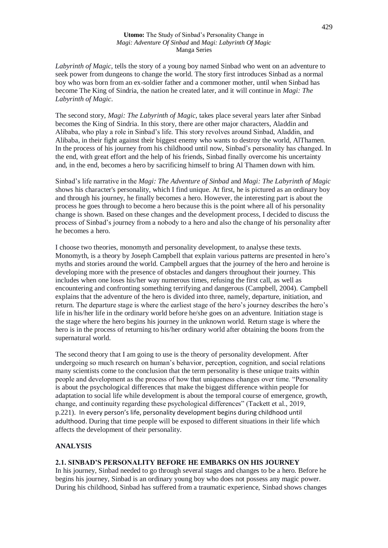*Labyrinth of Magic,* tells the story of a young boy named Sinbad who went on an adventure to seek power from dungeons to change the world. The story first introduces Sinbad as a normal boy who was born from an ex-soldier father and a commoner mother, until when Sinbad has become The King of Sindria, the nation he created later, and it will continue in *Magi: The Labyrinth of Magic*.

The second story, *Magi: The Labyrinth of Magic*, takes place several years later after Sinbad becomes the King of Sindria. In this story, there are other major characters, Aladdin and Alibaba, who play a role in Sinbad's life. This story revolves around Sinbad, Aladdin, and Alibaba, in their fight against their biggest enemy who wants to destroy the world, AlThamen. In the process of his journey from his childhood until now, Sinbad's personality has changed. In the end, with great effort and the help of his friends, Sinbad finally overcome his uncertainty and, in the end, becomes a hero by sacrificing himself to bring Al Thamen down with him.

Sinbad's life narrative in the *Magi: The Adventure of Sinbad* and *Magi: The Labyrinth of Magic* shows his character's personality, which I find unique. At first, he is pictured as an ordinary boy and through his journey, he finally becomes a hero. However, the interesting part is about the process he goes through to become a hero because this is the point where all of his personality change is shown. Based on these changes and the development process, I decided to discuss the process of Sinbad's journey from a nobody to a hero and also the change of his personality after he becomes a hero.

I choose two theories, monomyth and personality development, to analyse these texts. Monomyth, is a theory by Joseph Campbell that explain various patterns are presented in hero's myths and stories around the world. Campbell argues that the journey of the hero and heroine is developing more with the presence of obstacles and dangers throughout their journey. This includes when one loses his/her way numerous times, refusing the first call, as well as encountering and confronting something terrifying and dangerous (Campbell, 2004). Campbell explains that the adventure of the hero is divided into three, namely, departure, initiation, and return. The departure stage is where the earliest stage of the hero's journey describes the hero's life in his/her life in the ordinary world before he/she goes on an adventure. Initiation stage is the stage where the hero begins his journey in the unknown world. Return stage is where the hero is in the process of returning to his/her ordinary world after obtaining the boons from the supernatural world.

The second theory that I am going to use is the theory of personality development. After undergoing so much research on human's behavior, perception, cognition, and social relations many scientists come to the conclusion that the term personality is these unique traits within people and development as the process of how that uniqueness changes over time. "Personality is about the psychological differences that make the biggest difference within people for adaptation to social life while development is about the temporal course of emergence, growth, change, and continuity regarding these psychological differences" (Tackett et al., 2019, p.221). In every person's life, personality development begins during childhood until adulthood. During that time people will be exposed to different situations in their life which affects the development of their personality.

# **ANALYSIS**

## **2.1. SINBAD'S PERSONALITY BEFORE HE EMBARKS ON HIS JOURNEY**

In his journey, Sinbad needed to go through several stages and changes to be a hero. Before he begins his journey, Sinbad is an ordinary young boy who does not possess any magic power. During his childhood, Sinbad has suffered from a traumatic experience, Sinbad shows changes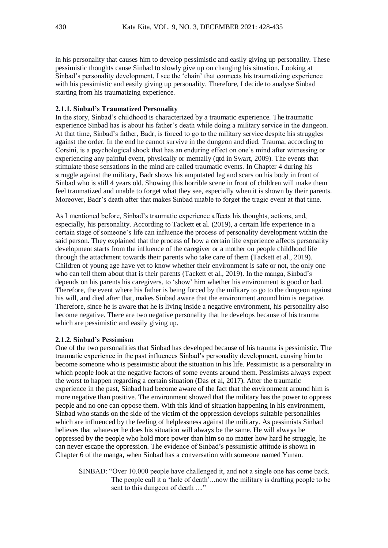in his personality that causes him to develop pessimistic and easily giving up personality. These pessimistic thoughts cause Sinbad to slowly give up on changing his situation. Looking at Sinbad's personality development, I see the 'chain' that connects his traumatizing experience with his pessimistic and easily giving up personality. Therefore, I decide to analyse Sinbad starting from his traumatizing experience.

## **2.1.1. Sinbad's Traumatized Personality**

In the story, Sinbad's childhood is characterized by a traumatic experience. The traumatic experience Sinbad has is about his father's death while doing a military service in the dungeon. At that time, Sinbad's father, Badr, is forced to go to the military service despite his struggles against the order. In the end he cannot survive in the dungeon and died. Trauma, according to Corsini, is a psychological shock that has an enduring effect on one's mind after witnessing or experiencing any painful event, physically or mentally (qtd in Swart, 2009). The events that stimulate those sensations in the mind are called traumatic events. In Chapter 4 during his struggle against the military, Badr shows his amputated leg and scars on his body in front of Sinbad who is still 4 years old. Showing this horrible scene in front of children will make them feel traumatized and unable to forget what they see, especially when it is shown by their parents. Moreover, Badr's death after that makes Sinbad unable to forget the tragic event at that time.

As I mentioned before, Sinbad's traumatic experience affects his thoughts, actions, and, especially, his personality. According to Tackett et al. (2019), a certain life experience in a certain stage of someone's life can influence the process of personality development within the said person. They explained that the process of how a certain life experience affects personality development starts from the influence of the caregiver or a mother on people childhood life through the attachment towards their parents who take care of them (Tackett et al., 2019). Children of young age have yet to know whether their environment is safe or not, the only one who can tell them about that is their parents (Tackett et al., 2019). In the manga, Sinbad's depends on his parents his caregivers, to 'show' him whether his environment is good or bad. Therefore, the event where his father is being forced by the military to go to the dungeon against his will, and died after that, makes Sinbad aware that the environment around him is negative. Therefore, since he is aware that he is living inside a negative environment, his personality also become negative. There are two negative personality that he develops because of his trauma which are pessimistic and easily giving up.

### **2.1.2. Sinbad's Pessimism**

One of the two personalities that Sinbad has developed because of his trauma is pessimistic. The traumatic experience in the past influences Sinbad's personality development, causing him to become someone who is pessimistic about the situation in his life. Pessimistic is a personality in which people look at the negative factors of some events around them. Pessimists always expect the worst to happen regarding a certain situation (Das et al, 2017). After the traumatic experience in the past, Sinbad had become aware of the fact that the environment around him is more negative than positive. The environment showed that the military has the power to oppress people and no one can oppose them. With this kind of situation happening in his environment, Sinbad who stands on the side of the victim of the oppression develops suitable personalities which are influenced by the feeling of helplessness against the military. As pessimists Sinbad believes that whatever he does his situation will always be the same. He will always be oppressed by the people who hold more power than him so no matter how hard he struggle, he can never escape the oppression. The evidence of Sinbad's pessimistic attitude is shown in Chapter 6 of the manga, when Sinbad has a conversation with someone named Yunan.

SINBAD: "Over 10.000 people have challenged it, and not a single one has come back. The people call it a 'hole of death'...now the military is drafting people to be sent to this dungeon of death ...."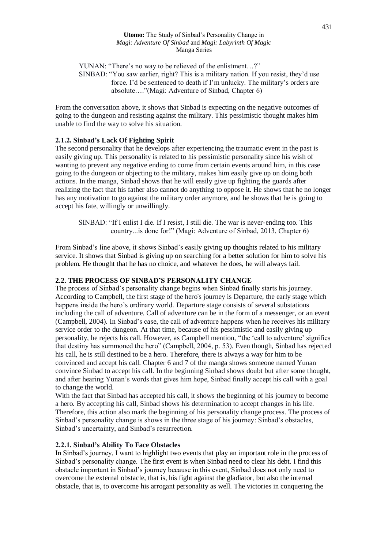YUNAN: "There's no way to be relieved of the enlistment…?" SINBAD: "You saw earlier, right? This is a military nation. If you resist, they'd use force. I'd be sentenced to death if I'm unlucky. The military's orders are absolute…."(Magi: Adventure of Sinbad, Chapter 6)

From the conversation above, it shows that Sinbad is expecting on the negative outcomes of going to the dungeon and resisting against the military. This pessimistic thought makes him unable to find the way to solve his situation.

## **2.1.2. Sinbad's Lack Of Fighting Spirit**

The second personality that he develops after experiencing the traumatic event in the past is easily giving up. This personality is related to his pessimistic personality since his wish of wanting to prevent any negative ending to come from certain events around him, in this case going to the dungeon or objecting to the military, makes him easily give up on doing both actions. In the manga, Sinbad shows that he will easily give up fighting the guards after realizing the fact that his father also cannot do anything to oppose it. He shows that he no longer has any motivation to go against the military order anymore, and he shows that he is going to accept his fate, willingly or unwillingly.

SINBAD: "If I enlist I die. If I resist, I still die. The war is never-ending too. This country...is done for!" (Magi: Adventure of Sinbad, 2013, Chapter 6)

From Sinbad's line above, it shows Sinbad's easily giving up thoughts related to his military service. It shows that Sinbad is giving up on searching for a better solution for him to solve his problem. He thought that he has no choice, and whatever he does, he will always fail.

# **2.2. THE PROCESS OF SINBAD'S PERSONALITY CHANGE**

The process of Sinbad's personality change begins when Sinbad finally starts his journey. According to Campbell, the first stage of the hero's journey is Departure, the early stage which happens inside the hero's ordinary world. Departure stage consists of several substations including the call of adventure. Call of adventure can be in the form of a messenger, or an event (Campbell, 2004). In Sinbad's case, the call of adventure happens when he receives his military service order to the dungeon. At that time, because of his pessimistic and easily giving up personality, he rejects his call. However, as Campbell mention, "the 'call to adventure' signifies that destiny has summoned the hero" (Campbell, 2004, p. 53). Even though, Sinbad has rejected his call, he is still destined to be a hero. Therefore, there is always a way for him to be convinced and accept his call. Chapter 6 and 7 of the manga shows someone named Yunan convince Sinbad to accept his call. In the beginning Sinbad shows doubt but after some thought, and after hearing Yunan's words that gives him hope, Sinbad finally accept his call with a goal to change the world.

With the fact that Sinbad has accepted his call, it shows the beginning of his journey to become a hero. By accepting his call, Sinbad shows his determination to accept changes in his life. Therefore, this action also mark the beginning of his personality change process. The process of Sinbad's personality change is shows in the three stage of his journey: Sinbad's obstacles, Sinbad's uncertainty, and Sinbad's resurrection.

# **2.2.1. Sinbad's Ability To Face Obstacles**

In Sinbad's journey, I want to highlight two events that play an important role in the process of Sinbad's personality change. The first event is when Sinbad need to clear his debt. I find this obstacle important in Sinbad's journey because in this event, Sinbad does not only need to overcome the external obstacle, that is, his fight against the gladiator, but also the internal obstacle, that is, to overcome his arrogant personality as well. The victories in conquering the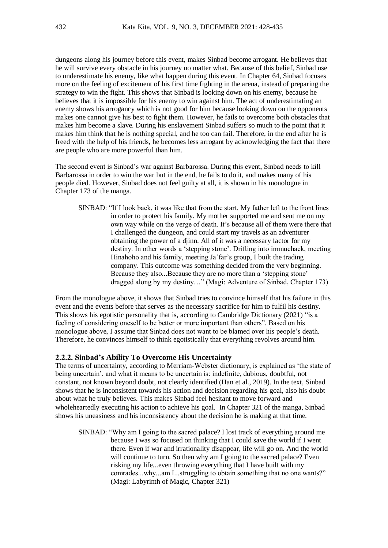dungeons along his journey before this event, makes Sinbad become arrogant. He believes that he will survive every obstacle in his journey no matter what. Because of this belief, Sinbad use to underestimate his enemy, like what happen during this event. In Chapter 64, Sinbad focuses more on the feeling of excitement of his first time fighting in the arena, instead of preparing the strategy to win the fight. This shows that Sinbad is looking down on his enemy, because he believes that it is impossible for his enemy to win against him. The act of underestimating an enemy shows his arrogancy which is not good for him because looking down on the opponents makes one cannot give his best to fight them. However, he fails to overcome both obstacles that makes him become a slave. During his enslavement Sinbad suffers so much to the point that it makes him think that he is nothing special, and he too can fail. Therefore, in the end after he is freed with the help of his friends, he becomes less arrogant by acknowledging the fact that there are people who are more powerful than him.

The second event is Sinbad's war against Barbarossa. During this event, Sinbad needs to kill Barbarossa in order to win the war but in the end, he fails to do it, and makes many of his people died. However, Sinbad does not feel guilty at all, it is shown in his monologue in Chapter 173 of the manga.

SINBAD: "If I look back, it was like that from the start. My father left to the front lines in order to protect his family. My mother supported me and sent me on my own way while on the verge of death. It's because all of them were there that I challenged the dungeon, and could start my travels as an adventurer obtaining the power of a djinn. All of it was a necessary factor for my destiny. In other words a 'stepping stone'. Drifting into immuchack, meeting Hinahoho and his family, meeting Ja'far's group, I built the trading company. This outcome was something decided from the very beginning. Because they also...Because they are no more than a 'stepping stone' dragged along by my destiny…" (Magi: Adventure of Sinbad, Chapter 173)

From the monologue above, it shows that Sinbad tries to convince himself that his failure in this event and the events before that serves as the necessary sacrifice for him to fulfil his destiny. This shows his egotistic personality that is, according to Cambridge Dictionary (2021) "is a feeling of considering oneself to be better or more important than others". Based on his monologue above, I assume that Sinbad does not want to be blamed over his people's death. Therefore, he convinces himself to think egotistically that everything revolves around him.

### **2.2.2. Sinbad's Ability To Overcome His Uncertainty**

The terms of uncertainty, according to Merriam-Webster dictionary, is explained as 'the state of being uncertain', and what it means to be uncertain is: indefinite, dubious, doubtful, not constant, not known beyond doubt, not clearly identified (Han et al., 2019). In the text, Sinbad shows that he is inconsistent towards his action and decision regarding his goal, also his doubt about what he truly believes. This makes Sinbad feel hesitant to move forward and wholeheartedly executing his action to achieve his goal. In Chapter 321 of the manga, Sinbad shows his uneasiness and his inconsistency about the decision he is making at that time.

SINBAD: "Why am I going to the sacred palace? I lost track of everything around me because I was so focused on thinking that I could save the world if I went there. Even if war and irrationality disappear, life will go on. And the world will continue to turn. So then why am I going to the sacred palace? Even risking my life...even throwing everything that I have built with my comrades...why...am I...struggling to obtain something that no one wants?" (Magi: Labyrinth of Magic, Chapter 321)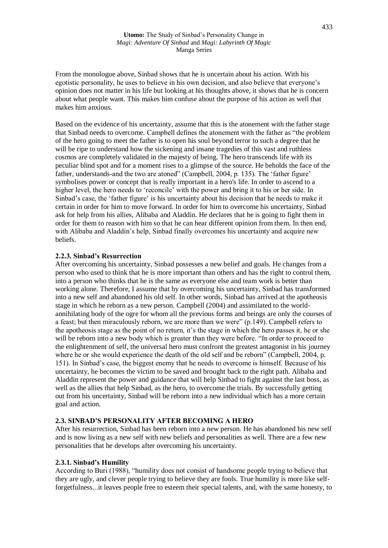From the monologue above, Sinbad shows that he is uncertain about his action. With his egotistic personality, he uses to believe in his own decision, and also believe that everyone's opinion does not matter in his life but looking at his thoughts above, it shows that he is concern about what people want. This makes him confuse about the purpose of his action as well that makes him anxious.

Based on the evidence of his uncertainty, assume that this is the atonement with the father stage that Sinbad needs to overcome. Campbell defines the atonement with the father as "the problem of the hero going to meet the father is to open his soul beyond terror to such a degree that he will be ripe to understand how the sickening and insane tragedies of this vast and ruthless cosmos are completely validated in the majesty of being. The hero transcends life with its peculiar blind spot and for a moment rises to a glimpse of the source. He beholds the face of the father, understands-and the two are atoned" (Campbell, 2004, p. 135). The 'father figure' symbolises power or concept that is really important in a hero's life. In order to ascend to a higher level, the hero needs to 'reconcile' with the power and bring it to his or her side. In Sinbad's case, the 'father figure' is his uncertainty about his decision that he needs to make it certain in order for him to move forward. In order for him to overcome his uncertainty, Sinbad ask for help from his allies, Alibaba and Aladdin. He declares that he is going to fight them in order for them to reason with him so that he can hear different opinion from them. In then end, with Alibaba and Aladdin's help, Sinbad finally overcomes his uncertainty and acquire new beliefs.

# **2.2.3. Sinbad's Resurrection**

After overcoming his uncertainty, Sinbad possesses a new belief and goals. He changes from a person who used to think that he is more important than others and has the right to control them, into a person who thinks that he is the same as everyone else and team work is better than working alone. Therefore, I assume that by overcoming his uncertainty, Sinbad has transformed into a new self and abandoned his old self. In other words, Sinbad has arrived at the apotheosis stage in which he reborn as a new person. Campbell (2004) and assimilated to the worldannihilating body of the ogre for whom all the previous forms and beings are only the courses of a feast; but then miraculously reborn, we are more than we were" (p.149). Campbell refers to the apotheosis stage as the point of no return, it's the stage in which the hero passes it, he or she will be reborn into a new body which is greater than they were before. "In order to proceed to the enlightenment of self, the universal hero must confront the greatest antagonist in his journey where he or she would experience the death of the old self and be reborn" (Campbell, 2004, p. 151). In Sinbad's case, the biggest enemy that he needs to overcome is himself. Because of his uncertainty, he becomes the victim to be saved and brought back to the right path. Alibaba and Aladdin represent the power and guidance that will help Sinbad to fight against the last boss, as well as the allies that help Sinbad, as the hero, to overcome the trials. By successfully getting out from his uncertainty, Sinbad will be reborn into a new individual which has a more certain goal and action.

# **2.3. SINBAD'S PERSONALITY AFTER BECOMING A HERO**

After his resurrection, Sinbad has been reborn into a new person. He has abandoned his new self and is now living as a new self with new beliefs and personalities as well. There are a few new personalities that he develops after overcoming his uncertainty.

## **2.3.1. Sinbad's Humility**

According to Buri (1988), "humility does not consist of handsome people trying to believe that they are ugly, and clever people trying to believe they are fools. True humility is more like selfforgetfulness...it leaves people free to esteem their special talents, and, with the same honesty, to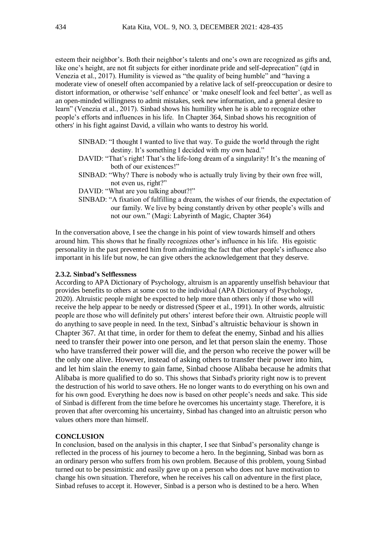esteem their neighbor's. Both their neighbor's talents and one's own are recognized as gifts and, like one's height, are not fit subjects for either inordinate pride and self-deprecation" (qtd in Venezia et al., 2017). Humility is viewed as "the quality of being humble" and "having a moderate view of oneself often accompanied by a relative lack of self-preoccupation or desire to distort information, or otherwise 'self enhance' or 'make oneself look and feel better', as well as an open-minded willingness to admit mistakes, seek new information, and a general desire to learn" (Venezia et al., 2017). Sinbad shows his humility when he is able to recognize other people's efforts and influences in his life. In Chapter 364, Sinbad shows his recognition of others' in his fight against David, a villain who wants to destroy his world.

- SINBAD: "I thought I wanted to live that way. To guide the world through the right destiny. It's something I decided with my own head."
- DAVID: "That's right! That's the life-long dream of a singularity! It's the meaning of both of our existences!"
- SINBAD: "Why? There is nobody who is actually truly living by their own free will, not even us, right?"
- DAVID: "What are you talking about?!"
- SINBAD: "A fixation of fulfilling a dream, the wishes of our friends, the expectation of our family. We live by being constantly driven by other people's wills and not our own." (Magi: Labyrinth of Magic, Chapter 364)

In the conversation above, I see the change in his point of view towards himself and others around him. This shows that he finally recognizes other's influence in his life. His egoistic personality in the past prevented him from admitting the fact that other people's influence also important in his life but now, he can give others the acknowledgement that they deserve.

### **2.3.2. Sinbad's Selflessness**

According to APA Dictionary of Psychology, altruism is an apparently unselfish behaviour that provides benefits to others at some cost to the individual (APA Dictionary of Psychology, 2020). Altruistic people might be expected to help more than others only if those who will receive the help appear to be needy or distressed (Speer et al., 1991). In other words, altruistic people are those who will definitely put others' interest before their own. Altruistic people will do anything to save people in need. In the text, Sinbad's altruistic behaviour is shown in Chapter 367. At that time, in order for them to defeat the enemy, Sinbad and his allies need to transfer their power into one person, and let that person slain the enemy. Those who have transferred their power will die, and the person who receive the power will be the only one alive. However, instead of asking others to transfer their power into him, and let him slain the enemy to gain fame, Sinbad choose Alibaba because he admits that Alibaba is more qualified to do so. This shows that Sinbad's priority right now is to prevent the destruction of his world to save others. He no longer wants to do everything on his own and for his own good. Everything he does now is based on other people's needs and sake. This side of Sinbad is different from the time before he overcomes his uncertainty stage. Therefore, it is proven that after overcoming his uncertainty, Sinbad has changed into an altruistic person who values others more than himself.

#### **CONCLUSION**

In conclusion, based on the analysis in this chapter, I see that Sinbad's personality change is reflected in the process of his journey to become a hero. In the beginning, Sinbad was born as an ordinary person who suffers from his own problem. Because of this problem, young Sinbad turned out to be pessimistic and easily gave up on a person who does not have motivation to change his own situation. Therefore, when he receives his call on adventure in the first place, Sinbad refuses to accept it. However, Sinbad is a person who is destined to be a hero. When